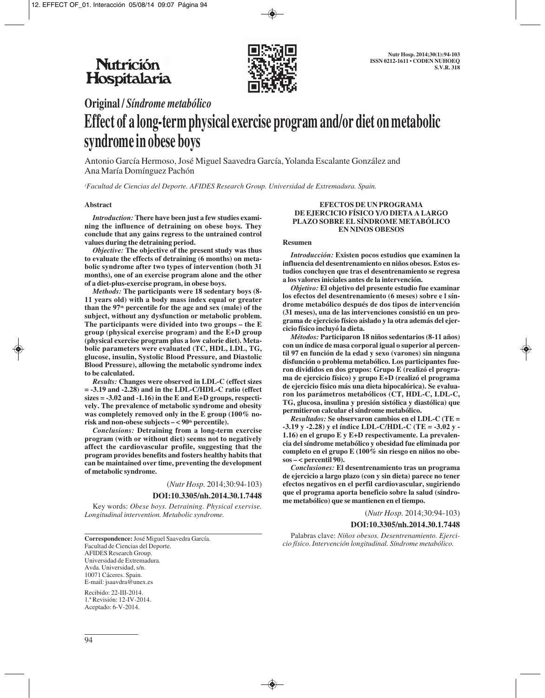

## **Original /** *Síndrome metabólico*

# **Effect of a long-term physical exercise program and/or diet on metabolic syndrome in obese boys**

Antonio García Hermoso, José Miguel Saavedra García, Yolanda Escalante González and Ana María Domínguez Pachón

*1 Facultad de Ciencias del Deporte. AFIDES Research Group. Universidad de Extremadura. Spain.* 

#### **Abstract**

*Introduction:* **There have been just a few studies examining the influence of detraining on obese boys. They conclude that any gains regress to the untrained control values during the detraining period.** 

*Objective:* **The objective of the present study was thus to evaluate the effects of detraining (6 months) on metabolic syndrome after two types of intervention (both 31 months), one of an exercise program alone and the other of a diet-plus-exercise program, in obese boys.**

*Methods:* **The participants were 18 sedentary boys (8- 11 years old) with a body mass index equal or greater** than the 97<sup>th</sup> percentile for the age and sex (male) of the **subject, without any dysfunction or metabolic problem. The participants were divided into two groups – the E group (physical exercise program) and the E+D group (physical exercise program plus a low calorie diet). Metabolic parameters were evaluated (TC, HDL, LDL, TG, glucose, insulin, Systolic Blood Pressure, and Diastolic Blood Pressure), allowing the metabolic syndrome index to be calculated.**

*Results:* **Changes were observed in LDL-C (effect sizes = -3.19 and -2.28) and in the LDL-C/HDL-C ratio (effect sizes = -3.02 and -1.16) in the E and E+D groups, respectively. The prevalence of metabolic syndrome and obesity was completely removed only in the E group (100% no**risk and non-obese subjects  $-$  < 90<sup>th</sup> percentile).

*Conclusions:* **Detraining from a long-term exercise program (with or without diet) seems not to negatively affect the cardiovascular profile, suggesting that the program provides benefits and fosters healthy habits that can be maintained over time, preventing the development of metabolic syndrome.**

(*Nutr Hosp.* 2014;30:94-103)

**DOI:10.3305/nh.2014.30.1.7448**

Key words: *Obese boys. Detraining. Physical exervise. Longitudinal intervention. Metabolic syndrome.*

**Correspondence:** José Miguel Saavedra García. Facultad de Ciencias del Deporte. AFIDES Research Group. Universidad de Extremadura. Avda. Universidad, s/n. 10071 Cáceres. Spain. E-mail: jsaavdra@unex.es

Recibido: 22-III-2014. 1.ª Revisión: 12-IV-2014. Aceptado: 6-V-2014.

#### **EFECTOS DE UN PROGRAMA DE EJERCICIO FÍSICO Y/O DIETA A LARGO PLAZO SOBRE EL SÍNDROME METABÓLICO EN NINOS OBESOS**

#### **Resumen**

*Introducción:* **Existen pocos estudios que examinen la influencia del desentrenamiento en niños obesos. Estos estudios concluyen que tras el desentrenamiento se regresa a los valores iniciales antes de la intervención.**

*Objetivo:* **El objetivo del presente estudio fue examinar los efectos del desentrenamiento (6 meses) sobre e l síndrome metabólico después de dos tipos de intervención (31 meses), una de las intervenciones consistió en un programa de ejercicio físico aislado y la otra además del ejercicio físico incluyó la dieta.**

*Métodos:* **Participaron 18 niños sedentarios (8-11 años) con un índice de masa corporal igual o superior al percentil 97 en función de la edad y sexo (varones) sin ninguna disfunción o problema metabólico. Los participantes fueron divididos en dos grupos: Grupo E (realizó el programa de ejercicio físico) y grupo E+D (realizó el programa de ejercicio físico más una dieta hipocalórica). Se evaluaron los parámetros metabólicos (CT, HDL-C, LDL-C, TG, glucosa, insulina y presión sistólica y diastólica) que permitieron calcular el síndrome metabólico.**

*Resultados:* **Se observaron cambios en el LDL-C (TE = -3.19 y -2.28) y el índice LDL-C/HDL-C (TE = -3.02 y - 1.16) en el grupo E y E+D respectivamente. La prevalencia del síndrome metabólico y obesidad fue eliminada por completo en el grupo E (100% sin riesgo en niños no obesos – < percentil 90).**

*Conclusiones:* **El desentrenamiento tras un programa de ejercicio a largo plazo (con y sin dieta) parece no tener efectos negativos en el perfil cardiovascular, sugiriendo que el programa aporta beneficio sobre la salud (síndrome metabólico) que se mantienen en el tiempo.**

(*Nutr Hosp.* 2014;30:94-103)

#### **DOI:10.3305/nh.2014.30.1.7448**

Palabras clave: *Niños obesos. Desentrenamiento. Ejercicio físico. Intervención longitudinal. Síndrome metabólico.*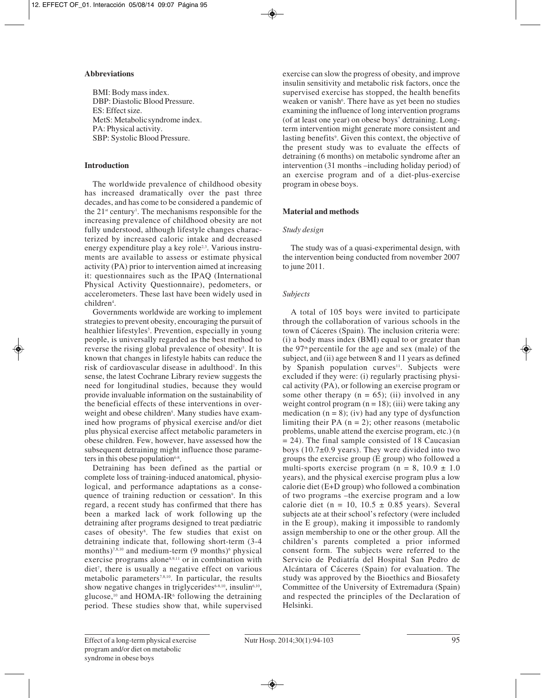### **Abbreviations**

BMI: Body mass index. DBP: Diastolic Blood Pressure. ES: Effect size. MetS: Metabolicsyndrome index. PA: Physical activity. SBP: Systolic Blood Pressure.

## **Introduction**

The worldwide prevalence of childhood obesity has increased dramatically over the past three decades, and has come to be considered a pandemic of the  $21^{\text{st}}$  century<sup>1</sup>. The mechanisms responsible for the increasing prevalence of childhood obesity are not fully understood, although lifestyle changes characterized by increased caloric intake and decreased energy expenditure play a key role<sup>2,3</sup>. Various instruments are available to assess or estimate physical activity (PA) prior to intervention aimed at increasing it: questionnaires such as the IPAQ (International Physical Activity Questionnaire), pedometers, or accelerometers. These last have been widely used in children<sup>4</sup>.

Governments worldwide are working to implement strategies to prevent obesity, encouraging the pursuit of healthier lifestyles<sup>5</sup>. Prevention, especially in young people, is universally regarded as the best method to reverse the rising global prevalence of obesity<sup>5</sup>. It is known that changes in lifestyle habits can reduce the risk of cardiovascular disease in adulthood<sup>1</sup>. In this sense, the latest Cochrane Library review suggests the need for longitudinal studies, because they would provide invaluable information on the sustainability of the beneficial effects of these interventions in overweight and obese children<sup>5</sup>. Many studies have examined how programs of physical exercise and/or diet plus physical exercise affect metabolic parameters in obese children. Few, however, have assessed how the subsequent detraining might influence those parameters in this obese population $6-8$ .

Detraining has been defined as the partial or complete loss of training-induced anatomical, physiological, and performance adaptations as a consequence of training reduction or cessation<sup>9</sup>. In this regard, a recent study has confirmed that there has been a marked lack of work following up the detraining after programs designed to treat pædiatric cases of obesity<sup>8</sup>. The few studies that exist on detraining indicate that, following short-term (3-4 months)<sup>7,8,10</sup> and medium-term  $(9 \text{ months})^6$  physical exercise programs alone<sup>8,9,11</sup> or in combination with diet7 , there is usually a negative effect on various metabolic parameters7,8,10. In particular, the results show negative changes in triglycerides<sup>6-8,10</sup>, insulin<sup>6,10</sup>, glucose, $10$  and HOMA-IR<sup>6</sup> following the detraining period. These studies show that, while supervised

exercise can slow the progress of obesity, and improve insulin sensitivity and metabolic risk factors, once the supervised exercise has stopped, the health benefits weaken or vanish<sup>6</sup>. There have as yet been no studies examining the influence of long intervention programs (of at least one year) on obese boys' detraining. Longterm intervention might generate more consistent and lasting benefits<sup>9</sup>. Given this context, the objective of the present study was to evaluate the effects of detraining (6 months) on metabolic syndrome after an intervention (31 months –including holiday period) of an exercise program and of a diet-plus-exercise program in obese boys.

## **Material and methods**

## *Study design*

The study was of a quasi-experimental design, with the intervention being conducted from november 2007 to june 2011.

## *Subjects*

A total of 105 boys were invited to participate through the collaboration of various schools in the town of Cáceres (Spain). The inclusion criteria were: (i) a body mass index (BMI) equal to or greater than the  $97<sup>th</sup>$  percentile for the age and sex (male) of the subject, and (ii) age between 8 and 11 years as defined by Spanish population curves<sup>11</sup>. Subjects were excluded if they were: (i) regularly practising physical activity (PA), or following an exercise program or some other therapy  $(n = 65)$ ; (ii) involved in any weight control program  $(n = 18)$ ; (iii) were taking any medication  $(n = 8)$ ; (iv) had any type of dysfunction limiting their PA  $(n = 2)$ ; other reasons (metabolic problems, unable attend the exercise program, etc.) (n  $= 24$ ). The final sample consisted of 18 Caucasian boys (10.7±0.9 years). They were divided into two groups the exercise group (E group) who followed a multi-sports exercise program ( $n = 8$ , 10.9  $\pm$  1.0 years), and the physical exercise program plus a low calorie diet (E+D group) who followed a combination of two programs –the exercise program and a low calorie diet (n = 10,  $10.5 \pm 0.85$  years). Several subjects ate at their school's refectory (were included in the E group), making it impossible to randomly assign membership to one or the other group. All the children's parents completed a prior informed consent form. The subjects were referred to the Servicio de Pediatría del Hospital San Pedro de Alcántara of Cáceres (Spain) for evaluation. The study was approved by the Bioethics and Biosafety Committee of the University of Extremadura (Spain) and respected the principles of the Declaration of Helsinki.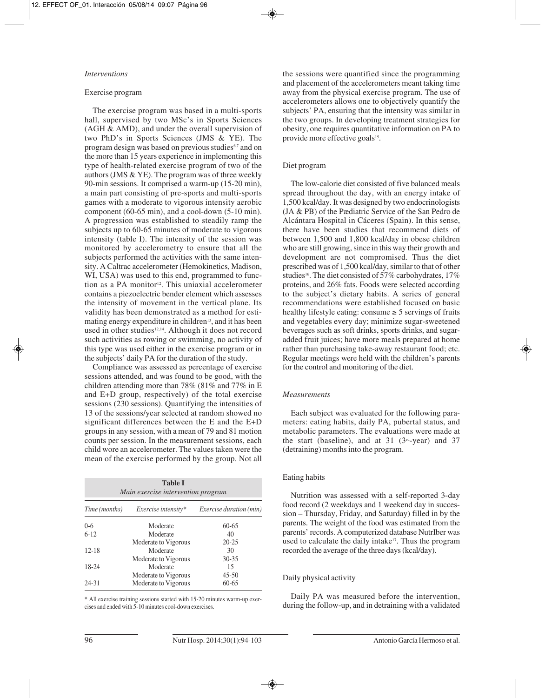#### *Interventions*

#### Exercise program

The exercise program was based in a multi-sports hall, supervised by two MSc's in Sports Sciences (AGH & AMD), and under the overall supervision of two PhD's in Sports Sciences (JMS & YE). The program design was based on previous studies<sup>6,7</sup> and on the more than 15 years experience in implementing this type of health-related exercise program of two of the authors (JMS & YE). The program was of three weekly 90-min sessions. It comprised a warm-up (15-20 min), a main part consisting of pre-sports and multi-sports games with a moderate to vigorous intensity aerobic component (60-65 min), and a cool-down (5-10 min). A progression was established to steadily ramp the subjects up to 60-65 minutes of moderate to vigorous intensity (table I). The intensity of the session was monitored by accelerometry to ensure that all the subjects performed the activities with the same intensity. A Caltrac accelerometer (Hemokinetics, Madison, WI, USA) was used to this end, programmed to function as a PA monitor<sup>12</sup>. This uniaxial accelerometer contains a piezoelectric bender element which assesses the intensity of movement in the vertical plane. Its validity has been demonstrated as a method for estimating energy expenditure in children<sup>13</sup>, and it has been used in other studies<sup>12,14</sup>. Although it does not record such activities as rowing or swimming, no activity of this type was used either in the exercise program or in the subjects' daily PA for the duration of the study.

Compliance was assessed as percentage of exercise sessions attended, and was found to be good, with the children attending more than 78% (81% and 77% in E and E+D group, respectively) of the total exercise sessions (230 sessions). Quantifying the intensities of 13 of the sessions/year selected at random showed no significant differences between the E and the E+D groups in any session, with a mean of 79 and 81 motion counts per session. In the measurement sessions, each child wore an accelerometer. The values taken were the mean of the exercise performed by the group. Not all

| <b>Table I</b><br>Main exercise intervention program |                      |                                |  |  |  |  |  |  |  |
|------------------------------------------------------|----------------------|--------------------------------|--|--|--|--|--|--|--|
| Time (months)                                        | Exercise intensity*  | <i>Exercise duration (min)</i> |  |  |  |  |  |  |  |
| $0 - 6$                                              | Moderate             | $60 - 65$                      |  |  |  |  |  |  |  |
| $6 - 12$                                             | Moderate             | 40                             |  |  |  |  |  |  |  |
|                                                      | Moderate to Vigorous | $20 - 25$                      |  |  |  |  |  |  |  |
| $12 - 18$                                            | Moderate             | 30                             |  |  |  |  |  |  |  |
|                                                      | Moderate to Vigorous | $30 - 35$                      |  |  |  |  |  |  |  |
| 18-24                                                | Moderate             | 15                             |  |  |  |  |  |  |  |
|                                                      | Moderate to Vigorous | $45 - 50$                      |  |  |  |  |  |  |  |
| 24-31                                                | Moderate to Vigorous | $60 - 65$                      |  |  |  |  |  |  |  |

\* All exercise training sessions started with 15-20 minutes warm-up exercises and ended with 5-10 minutes cool-down exercises.

the sessions were quantified since the programming and placement of the accelerometers meant taking time away from the physical exercise program. The use of accelerometers allows one to objectively quantify the subjects' PA, ensuring that the intensity was similar in the two groups. In developing treatment strategies for obesity, one requires quantitative information on PA to provide more effective goals<sup>15</sup>.

#### Diet program

The low-calorie diet consisted of five balanced meals spread throughout the day, with an energy intake of 1,500 kcal/day. It was designed by two endocrinologists (JA & PB) of the Pædiatric Service of the San Pedro de Alcántara Hospital in Cáceres (Spain). In this sense, there have been studies that recommend diets of between 1,500 and 1,800 kcal/day in obese children who are still growing, since in this way their growth and development are not compromised. Thus the diet prescribed was of 1,500 kcal/day, similar to that of other studies<sup>16</sup>. The diet consisted of 57% carbohydrates, 17% proteins, and 26% fats. Foods were selected according to the subject's dietary habits. A series of general recommendations were established focused on basic healthy lifestyle eating: consume  $\geq 5$  servings of fruits and vegetables every day; minimize sugar-sweetened beverages such as soft drinks, sports drinks, and sugaradded fruit juices; have more meals prepared at home rather than purchasing take-away restaurant food; etc. Regular meetings were held with the children's parents for the control and monitoring of the diet.

#### *Measurements*

Each subject was evaluated for the following parameters: eating habits, daily PA, pubertal status, and metabolic parameters. The evaluations were made at the start (baseline), and at  $31$  (3<sup>rd</sup>-year) and  $37$ (detraining) months into the program.

#### Eating habits

Nutrition was assessed with a self-reported 3-day food record (2 weekdays and 1 weekend day in succession – Thursday, Friday, and Saturday) filled in by the parents. The weight of the food was estimated from the parents' records. A computerized database NutrIber was used to calculate the daily intake<sup>17</sup>. Thus the program recorded the average of the three days (kcal/day).

#### Daily physical activity

Daily PA was measured before the intervention, during the follow-up, and in detraining with a validated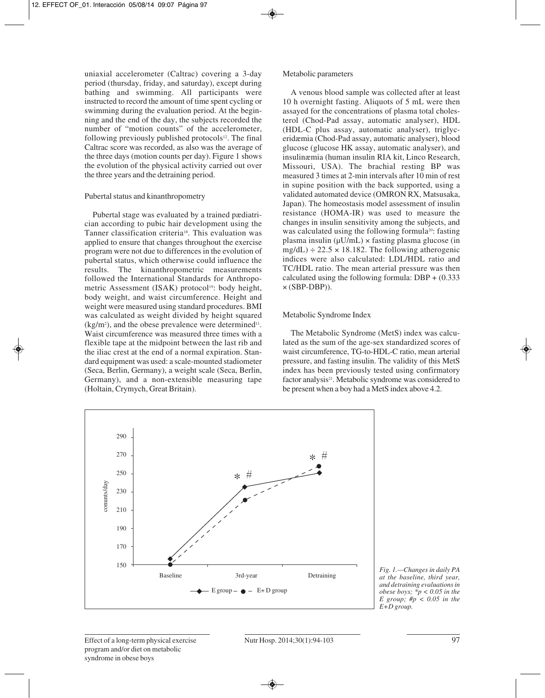uniaxial accelerometer (Caltrac) covering a 3-day period (thursday, friday, and saturday), except during bathing and swimming. All participants were instructed to record the amount of time spent cycling or swimming during the evaluation period. At the beginning and the end of the day, the subjects recorded the number of "motion counts" of the accelerometer, following previously published protocols $12$ . The final Caltrac score was recorded, as also was the average of the three days (motion counts per day). Figure 1 shows the evolution of the physical activity carried out over the three years and the detraining period.

#### Pubertal status and kinanthropometry

Pubertal stage was evaluated by a trained pædiatrician according to pubic hair development using the Tanner classification criteria<sup>18</sup>. This evaluation was applied to ensure that changes throughout the exercise program were not due to differences in the evolution of pubertal status, which otherwise could influence the results. The kinanthropometric measurements followed the International Standards for Anthropometric Assessment (ISAK) protocol<sup>19</sup>: body height, body weight, and waist circumference. Height and weight were measured using standard procedures. BMI was calculated as weight divided by height squared  $(kg/m<sup>2</sup>)$ , and the obese prevalence were determined<sup>11</sup>. Waist circumference was measured three times with a flexible tape at the midpoint between the last rib and the iliac crest at the end of a normal expiration. Standard equipment was used: a scale-mounted stadiometer (Seca, Berlin, Germany), a weight scale (Seca, Berlin, Germany), and a non-extensible measuring tape (Holtain, Crymych, Great Britain).

#### Metabolic parameters

A venous blood sample was collected after at least 10 h overnight fasting. Aliquots of 5 mL were then assayed for the concentrations of plasma total cholesterol (Chod-Pad assay, automatic analyser), HDL (HDL-C plus assay, automatic analyser), triglyceridæmia (Chod-Pad assay, automatic analyser), blood glucose (glucose HK assay, automatic analyser), and insulinæmia (human insulin RIA kit, Linco Research, Missouri, USA). The brachial resting BP was measured 3 times at 2-min intervals after 10 min of rest in supine position with the back supported, using a validated automated device (OMRON RX, Matsusaka, Japan). The homeostasis model assessment of insulin resistance (HOMA-IR) was used to measure the changes in insulin sensitivity among the subjects, and was calculated using the following formula<sup>20</sup>: fasting plasma insulin  $(\mu U/mL) \times$  fasting plasma glucose (in  $mg/dL$ ) ÷ 22.5 × 18.182. The following atherogenic indices were also calculated: LDL/HDL ratio and TC/HDL ratio. The mean arterial pressure was then calculated using the following formula: DBP + (0.333  $\times$  (SBP-DBP)).

#### Metabolic Syndrome Index

The Metabolic Syndrome (MetS) index was calculated as the sum of the age-sex standardized scores of waist circumference, TG-to-HDL-C ratio, mean arterial pressure, and fasting insulin. The validity of this MetS index has been previously tested using confirmatory factor analysis<sup>21</sup>. Metabolic syndrome was considered to be present when a boy had a MetS index above 4.2.



*Fig. 1.—Changes in daily PA at the baseline, third year, and detraining evaluations in obese boys; \*p < 0.05 in the E group; #p < 0.05 in the E+D group.*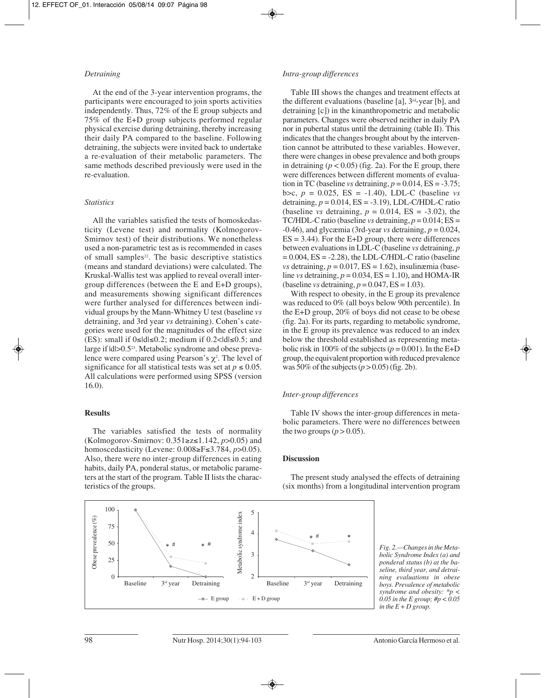#### *Detraining*

At the end of the 3-year intervention programs, the participants were encouraged to join sports activities independently. Thus, 72% of the E group subjects and 75% of the E+D group subjects performed regular physical exercise during detraining, thereby increasing their daily PA compared to the baseline. Following detraining, the subjects were invited back to undertake a re-evaluation of their metabolic parameters. The same methods described previously were used in the re-evaluation.

#### *Statistics*

All the variables satisfied the tests of homoskedasticity (Levene test) and normality (Kolmogorov-Smirnov test) of their distributions. We nonetheless used a non-parametric test as is recommended in cases of small samples<sup>22</sup>. The basic descriptive statistics (means and standard deviations) were calculated. The Kruskal-Wallis test was applied to reveal overall intergroup differences (between the E and E+D groups), and measurements showing significant differences were further analysed for differences between individual groups by the Mann-Whitney U test (baseline *vs* detraining, and 3rd year *vs* detraining). Cohen's categories were used for the magnitudes of the effect size (ES): small if  $0 \leq |d| \leq 0.2$ ; medium if  $0.2 < |d| \leq 0.5$ ; and large if  $|d| > 0.5^{23}$ . Metabolic syndrome and obese prevalence were compared using Pearson's  $\chi^2$ . The level of significance for all statistical tests was set at  $p \le 0.05$ . All calculations were performed using SPSS (version 16.0).

#### **Results**

The variables satisfied the tests of normality (Kolmogorov-Smirnov: 0.351≥z≤1.142, *p*>0.05) and homoscedasticity (Levene: 0.008≥F≤3.784, *p*>0.05). Also, there were no inter-group differences in eating habits, daily PA, ponderal status, or metabolic parameters at the start of the program. Table II lists the characteristics of the groups.

#### *Intra-group differences*

Table III shows the changes and treatment effects at the different evaluations (baseline [a],  $3<sup>rd</sup>$ -year [b], and detraining [c]) in the kinanthropometric and metabolic parameters. Changes were observed neither in daily PA nor in pubertal status until the detraining (table II). This indicates that the changes brought about by the intervention cannot be attributed to these variables. However, there were changes in obese prevalence and both groups in detraining  $(p < 0.05)$  (fig. 2a). For the E group, there were differences between different moments of evaluation in TC (baseline *vs* detraining,  $p = 0.014$ ,  $ES = -3.75$ ; b>c,  $p = 0.025$ , ES = -1.40), LDL-C (baseline *vs* detraining, *p* = 0.014, ES = -3.19), LDL-C/HDL-C ratio (baseline *vs* detraining,  $p = 0.014$ ,  $ES = -3.02$ ), the TC/HDL-C ratio (baseline *vs* detraining,  $p = 0.014$ ; ES =  $-0.46$ ), and glycæmia (3rd-year *vs* detraining,  $p = 0.024$ ,  $ES = 3.44$ ). For the E+D group, there were differences between evaluations in LDL-C (baseline *vs* detraining, *p*  $= 0.004$ , ES  $= -2.28$ ), the LDL-C/HDL-C ratio (baseline *vs* detraining,  $p = 0.017$ ,  $ES = 1.62$ ), insulinæmia (baseline *vs* detraining,  $p = 0.034$ ,  $ES = 1.10$ ), and HOMA-IR (baseline *vs* detraining, *p* = 0.047, ES = 1.03).

With respect to obesity, in the E group its prevalence was reduced to 0% (all boys below 90th percentile). In the E+D group, 20% of boys did not cease to be obese (fig. 2a). For its parts, regarding to metabolic syndrome, in the E group its prevalence was reduced to an index below the threshold established as representing metabolic risk in 100% of the subjects ( $p = 0.001$ ). In the E+D group, the equivalent proportion with reduced prevalence was 50% of the subjects  $(p > 0.05)$  (fig. 2b).

#### *Inter-group differences*

Table IV shows the inter-group differences in metabolic parameters. There were no differences between the two groups  $(p > 0.05)$ .

#### **Discussion**

The present study analysed the effects of detraining (six months) from a longitudinal intervention program



*Fig. 2.—Changes in the Metabolic Syndrome Index (a) and ponderal status (b) at the baseline, third year, and detraining evaluations in obese boys. Prevalence of metabolic syndrome and obesity: \*p < 0.05 in the E group; #p < 0.05 in the E + D group.*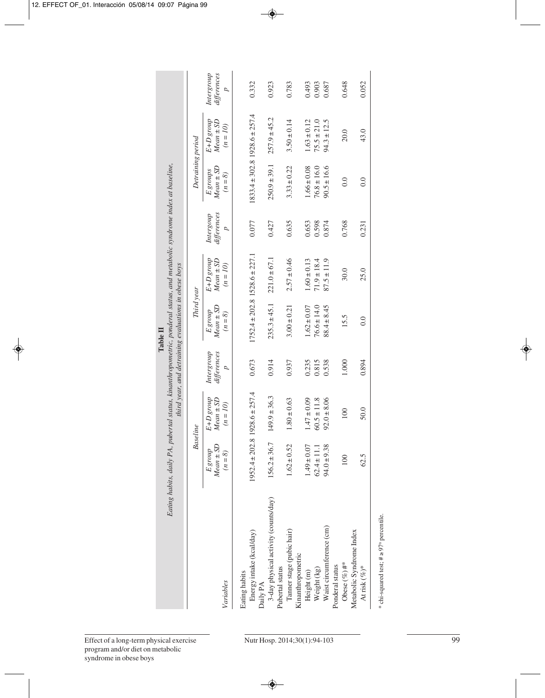|                                                         | Eating habits, daily PA, pubertal status, kinanthropometric, ponderal status, and metabolic syndrome index at baseline, |                                          |                                             | third year, and detraining evaluations in obese boys |                                          |                                            |                                             |                                          |                                             |
|---------------------------------------------------------|-------------------------------------------------------------------------------------------------------------------------|------------------------------------------|---------------------------------------------|------------------------------------------------------|------------------------------------------|--------------------------------------------|---------------------------------------------|------------------------------------------|---------------------------------------------|
|                                                         | <b>Baseline</b>                                                                                                         |                                          |                                             | Third year                                           |                                          |                                            | Detraining period                           |                                          |                                             |
| Variables                                               | $Mean \pm SD$<br>$E$ group<br>$(n=8)$                                                                                   | E+D group<br>$Mean \pm SD$<br>$(n = 10)$ | differences<br>Intergroup<br>$\overline{a}$ | $Mean \pm SD$<br><b>E</b> group<br>$(n=8)$           | E+D group<br>$Mean \pm SD$<br>$(n = 10)$ | differences<br>Intergoup<br>$\overline{a}$ | $Mean \pm SD$<br><b>E</b> groups<br>$(n=8)$ | E+D group<br>$Mean \pm SD$<br>$(n = 10)$ | Intergroup<br>differences<br>$\overline{a}$ |
| Eating habits                                           |                                                                                                                         |                                          |                                             |                                                      |                                          |                                            |                                             |                                          |                                             |
| Energy intake (kcal/day)<br>Daily PA                    | $1952.4 \pm 202.8$                                                                                                      | $1928.6 \pm 257.4$                       | 0.673                                       | $1752.4 \pm 202.8$ $1528.6 \pm 227.1$                |                                          | 0.077                                      | $1833.4 \pm 302.8$ 1928.6 $\pm$ 257.4       |                                          | 0.332                                       |
| 3-day physical activity (counts/day)<br>Pubertal status | $156.2 \pm 36.7$                                                                                                        | $149.9 \pm 36.3$                         | 0.914                                       | $235.3 \pm 45.1$                                     | $221.0 \pm 67.1$                         | 0.427                                      | $250.9 \pm 39.1$                            | $257.9 \pm 45.2$                         | 0.923                                       |
| Tanner stage (pubic hair)<br>Kinanthropometric          | $1.62 \pm 0.52$                                                                                                         | $1.80 \pm 0.63$                          | 0.937                                       | $3.00 \pm 0.21$                                      | $2.57 \pm 0.46$                          | 0.635                                      | $3.33 \pm 0.22$                             | $3.50 \pm 0.14$                          | 0.783                                       |
| Height <sub>(m)</sub>                                   | $1.49 \pm 0.07$                                                                                                         | $1.47 \pm 0.09$                          | 0.235                                       | $1.62 \pm 0.07$                                      | $1.60 \pm 0.13$                          | 0.653                                      | $1.66 \pm 0.08$                             | $1.63 \pm 0.12$                          | 0.493                                       |
| Weight (kg)                                             | $62.4 \pm 11.1$                                                                                                         | $60.5 \pm 11.8$                          | 0.815                                       | $76.6 \pm 14.0$                                      | $71.9 \pm 18.4$                          | 0.598                                      | $76.8 \pm 16.0$                             | $75.5 \pm 21.0$                          | 0.903                                       |
| Waist circumference (cm)                                | $94.0 \pm 9.38$                                                                                                         | $92.0 \pm 8.06$                          | 0.538                                       | $88.4 \pm 8.45$                                      | $87.5 \pm 11.9$                          | 0.874                                      | $90.5 \pm 16.6$                             | $94.3 \pm 12.5$                          | 0.687                                       |
| Ponderal status                                         |                                                                                                                         |                                          |                                             |                                                      |                                          |                                            |                                             |                                          |                                             |
| Obese $(\%)$ #*                                         | 100                                                                                                                     | 100                                      | 1.000                                       | 15.5                                                 | 30.0                                     | 0.768                                      | 0.0                                         | 20.0                                     | 0.648                                       |
| Metabolic Syndrome Index                                |                                                                                                                         |                                          |                                             |                                                      |                                          |                                            |                                             |                                          |                                             |
| At risk $(\%)^*$                                        | 62.5                                                                                                                    | 50.0                                     | 0.894                                       | 0.0                                                  | 25.0                                     | 0.231                                      | 0.0                                         | 43.0                                     | 0.052                                       |

\* chi-squared test;  $\# \geq 97^{\text{th}}$  percentile. \* chi-squared test;  $# \geq 97^{\text{th}}$  percentile.

**Table II**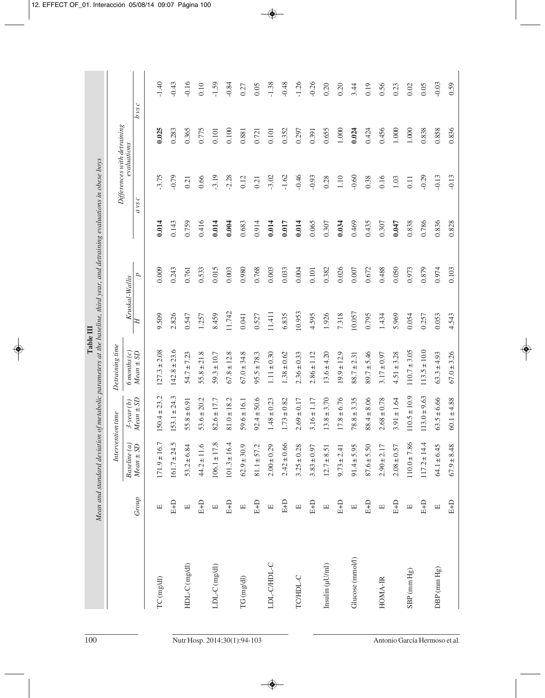|                                                                                                                           | tion time<br>Interver       | $3$ -year $(b)$<br>Baseline (a) | $Mean \pm SD$<br>$Mean \pm SD$ | $50.4 \pm 23.2$<br>$171.9 \pm 16.7$ | $153.1 \pm 24.3$<br>$161.7 \pm 24.5$ | $55.8 \pm 6.91$<br>$53.2 \pm 6.84$ | $53.6 \pm 20.2$<br>$44.2 \pm 11.6$ | $82.6 \pm 17.7$<br>$106.1 \pm 17.8$ | $81.0 \pm 18.2$<br>$101.3 \pm 16.4$ | $59.6 \pm 16.1$<br>$62.9 \pm 30.9$ | $92.4 \pm 50.6$<br>$81.1 \pm 57.2$ | $1.48 \pm 0.23$<br>$2.00 \pm 0.29$ | $1.73 \pm 0.82$<br>$2.42 \pm 0.66$ | $2.69 \pm 0.17$<br>$3.25 \pm 0.28$ | $3.16 \pm 1.17$<br>$3.83 \pm 0.97$ | $13.8 \pm 3.70$<br>$12.7 \pm 8.51$ | $17.8 \pm 6.76$<br>$9.73 \pm 2.41$ | $78.8 \pm 3.35$<br>$91.4 \pm 5.95$ | $88.4 \pm 8.06$<br>$87.6 \pm 5.50$ | $2.68 \pm 0.78$<br>$2.90 \pm 2.17$ | $3.91 \pm 1.64$<br>$2.08 \pm 0.57$ | $110.5 \pm 10.9$<br>$10.0 \pm 7.86$ | $113.0 \pm 9.63$<br>$117.2 \pm 14.4$ | $63.5 \pm 6.66$<br>$64.1 \pm 6.45$ | $60.1 \pm 4.88$<br>$67.9 \pm 8.48$ |
|---------------------------------------------------------------------------------------------------------------------------|-----------------------------|---------------------------------|--------------------------------|-------------------------------------|--------------------------------------|------------------------------------|------------------------------------|-------------------------------------|-------------------------------------|------------------------------------|------------------------------------|------------------------------------|------------------------------------|------------------------------------|------------------------------------|------------------------------------|------------------------------------|------------------------------------|------------------------------------|------------------------------------|------------------------------------|-------------------------------------|--------------------------------------|------------------------------------|------------------------------------|
| Table III                                                                                                                 | Detraining time             | $6$ months $(c)$                | $Mean \pm SD$                  | $127.3 \pm 2.08$                    | $142.8 \pm 23.6$                     | $54.7 \pm 7.23$                    | $55.8 \pm 21.8$                    | $59.3 \pm 10.7$                     | $67.8 \pm 12.8$                     | $67.0 \pm 34.8$                    | $95.5 \pm 78.3$                    | $1.11 \pm 0.30$                    | $1.38 \pm 0.62$                    | $2.36 \pm 0.33$                    | $2.86 \pm 1.12$                    | $13.6 \pm 4.20$                    | $19.9 \pm 12.9$                    | $88.7 \pm 2.31$                    | $89.7 \pm 5.46$                    | $3.17 \pm 0.97$                    | $4.51 \pm 3.28$                    | $110.7 \pm 3.05$                    | $113.5 \pm 10.0$                     | $63.3 \pm 4.93$                    | $67.0 \pm 3.26$                    |
| Mean and standard deviation of metabolic parameters at the baseline, third year, and detraining evaluations in obese boys |                             | Kruskal-Wallis                  | d<br>Ξ                         | 0.009<br>9.509                      | 0.243<br>2.826                       | 0.761<br>0.547                     | 0.533<br>1.257                     | 0.015<br>8.459                      | 0.003<br>11.742                     | 0.980<br>0.041                     | 0.768<br>0.527                     | 0.003<br>11.411                    | 0.033<br>6.835                     | 0.004<br>10.953                    | 0.101<br>4.595                     | 0.382<br>1.926                     | 0.026<br>7.318                     | 0.007<br>10.057                    | 0.672<br>0.795                     | 0.488<br>1.434                     | 0.050<br>5.969                     | 0.973<br>0.054                      | 0.879<br>0.257                       | 0.974<br>0.053                     | 0.103<br>4.543                     |
|                                                                                                                           |                             |                                 | $a$ vs $c$                     | 0.014                               | 0.143                                | 0.759                              | 0.416                              | 0.014                               | 0.004                               | 0.683                              | 0.914                              | 0.014                              | 0.017                              | 0.014                              | 0.065                              | 0.307                              | 0.034                              | 0.469                              | 0.435                              | 0.307                              | 0.047                              | 0.838                               | 0.786                                | 0.836                              | 0.828                              |
|                                                                                                                           | Differences with detraining | evaluations                     |                                | 3.75                                | $-0.79$                              | 0.21                               | 0.66                               | 3.19                                | $-2.28$                             | 0.12                               | 0.21                               | $-3.02$                            | $-1.62$                            | $-0.46$                            | $-0.93$                            | 0.28                               | 1.10                               | $-0.60$                            | 0.38                               | 0.16                               | 1.03                               | 0.11                                | $-0.29$                              | $-0.13$                            | $-0.13$                            |
|                                                                                                                           |                             |                                 | $b$ vsc                        | 0.025                               | 0.283                                | 0.365                              | 0.775                              | 0.101                               | 0.100                               | 0.881                              | 0.721                              | 0.101                              | 0.352                              | 0.297                              | 0.391                              | 0.655                              | 1.000                              | 0.024                              | 0.424                              | 0.456                              | 1.000                              | 1.000                               | 0.838                                | 0.858                              | 0.836                              |
|                                                                                                                           |                             |                                 |                                | $-1.40$                             | $-0.43$                              | $-0.16$                            | 0.10                               | $-1.59$                             | $-0.84$                             | 0.27                               | 0.05                               | $-1.38$                            | $-0.48$                            | $-1.26$                            | $-0.26$                            | 0.20                               | 0.20                               | 3.44                               | 0.19                               | 0.56                               | 0.23                               | 0.02                                | 0.05                                 | $-0.03$                            | 0.59                               |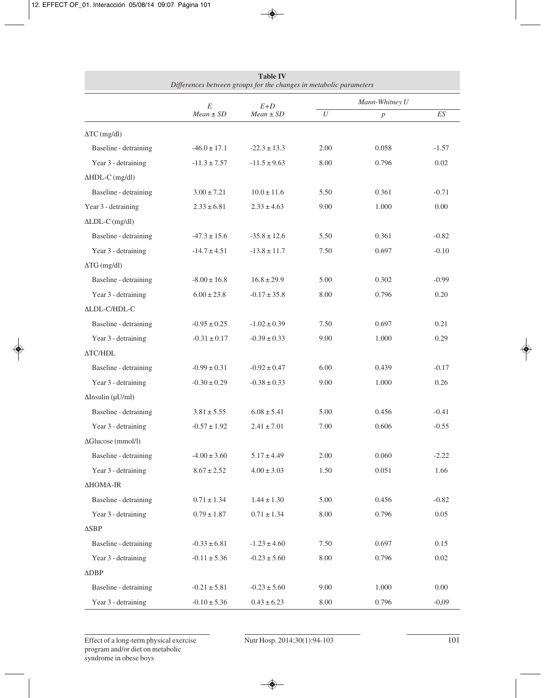|                             | Differences between groups for the changes in metabolic parameters | <b>Table IV</b>        |          |                  |                |  |  |  |  |  |
|-----------------------------|--------------------------------------------------------------------|------------------------|----------|------------------|----------------|--|--|--|--|--|
|                             |                                                                    |                        |          | Mann-Whitney U   |                |  |  |  |  |  |
|                             | E<br>$Mean \pm SD$                                                 | $E+D$<br>$Mean \pm SD$ | $\cal U$ | $\boldsymbol{p}$ | $E\mathcal{S}$ |  |  |  |  |  |
| $\Delta TC \text{ (mg/dl)}$ |                                                                    |                        |          |                  |                |  |  |  |  |  |
| Baseline - detraining       | $-46.0 \pm 17.1$                                                   | $-22.3 \pm 13.3$       | 2.00     | 0.058            | $-1.57$        |  |  |  |  |  |
| Year 3 - detraining         | $-11.3 \pm 7.57$                                                   | $-11.5 \pm 9.63$       | 8.00     | 0.796            | 0.02           |  |  |  |  |  |
| $\Delta HDL-C$ (mg/dl)      |                                                                    |                        |          |                  |                |  |  |  |  |  |
| Baseline - detraining       | $3.00 \pm 7.21$                                                    | $10.0 \pm 11.6$        | 5.50     | 0.361            | $-0.71$        |  |  |  |  |  |
| Year 3 - detraining         | $2.33 \pm 6.81$                                                    | $2.33 \pm 4.63$        | 9.00     | 1.000            | 0.00           |  |  |  |  |  |
| $\triangle LDL-C$ (mg/dl)   |                                                                    |                        |          |                  |                |  |  |  |  |  |
| Baseline - detraining       | $-47.3 \pm 15.6$                                                   | $-35.8 \pm 12.6$       | 5.50     | 0.361            | $-0.82$        |  |  |  |  |  |
| Year 3 - detraining         | $-14.7 \pm 4.51$                                                   | $-13.8 \pm 11.7$       | 7.50     | 0.697            | $-0.10$        |  |  |  |  |  |
| $\Delta TG \text{ (mg/dl)}$ |                                                                    |                        |          |                  |                |  |  |  |  |  |
| Baseline - detraining       | $-8.00 \pm 16.8$                                                   | $16.8 \pm 29.9$        | 5.00     | 0.302            | $-0.99$        |  |  |  |  |  |
| Year 3 - detraining         | $6.00 \pm 23.8$                                                    | $-0.17 \pm 35.8$       | 8.00     | 0.796            | 0.20           |  |  |  |  |  |
| <b>ALDL-C/HDL-C</b>         |                                                                    |                        |          |                  |                |  |  |  |  |  |
| Baseline - detraining       | $-0.95 \pm 0.25$                                                   | $-1.02 \pm 0.39$       | 7.50     | 0.697            | 0.21           |  |  |  |  |  |
| Year 3 - detraining         | $-0.31 \pm 0.17$                                                   | $-0.39 \pm 0.33$       | 9.00     | 1.000            | 0.29           |  |  |  |  |  |
| <b>ATC/HDL</b>              |                                                                    |                        |          |                  |                |  |  |  |  |  |
| Baseline - detraining       | $-0.99 \pm 0.31$                                                   | $-0.92 \pm 0.47$       | 6.00     | 0.439            | $-0.17$        |  |  |  |  |  |
| Year 3 - detraining         | $-0.30 \pm 0.29$                                                   | $-0.38 \pm 0.33$       | 9.00     | 1.000            | 0.26           |  |  |  |  |  |
| $\Delta$ Insulin (µU/ml)    |                                                                    |                        |          |                  |                |  |  |  |  |  |
| Baseline - detraining       | $3.81 \pm 5.55$                                                    | $6.08 \pm 5.41$        | 5.00     | 0.456            | $-0.41$        |  |  |  |  |  |
| Year 3 - detraining         | $-0.57 \pm 1.92$                                                   | $2.41 \pm 7.01$        | 7.00     | 0.606            | $-0.55$        |  |  |  |  |  |
| ΔGlucose (mmol/l)           |                                                                    |                        |          |                  |                |  |  |  |  |  |
| Baseline - detraining       | $-4.00 \pm 3.60$                                                   | $5.17 \pm 4.49$        | 2.00     | 0.060            | $-2.22$        |  |  |  |  |  |
| Year 3 - detraining         | $8.67 \pm 2.52$                                                    | $4.00 \pm 3.03$        | 1.50     | 0.051            | 1.66           |  |  |  |  |  |
| ΔHOMA-IR                    |                                                                    |                        |          |                  |                |  |  |  |  |  |
| Baseline - detraining       | $0.71 \pm 1.34$                                                    | $1.44 \pm 1.30$        | 5.00     | 0.456            | $-0.82$        |  |  |  |  |  |
| Year 3 - detraining         | $0.79 \pm 1.87$                                                    | $0.71 \pm 1.34$        | 8.00     | 0.796            | 0.05           |  |  |  |  |  |
| $\triangle$ SBP             |                                                                    |                        |          |                  |                |  |  |  |  |  |
| Baseline - detraining       | $-0.33 \pm 6.81$                                                   | $-1.23 \pm 4.60$       | 7.50     | 0.697            | 0.15           |  |  |  |  |  |
| Year 3 - detraining         | $-0.11 \pm 5.36$                                                   | $-0.23 \pm 5.60$       | 8.00     | 0.796            | 0.02           |  |  |  |  |  |
| $\triangle DBP$             |                                                                    |                        |          |                  |                |  |  |  |  |  |
| Baseline - detraining       | $-0.21 \pm 5.81$                                                   | $-0.23 \pm 5.60$       | 9.00     | 1.000            | 0.00           |  |  |  |  |  |
| Year 3 - detraining         | $-0.10 \pm 5.36$                                                   | $0.43 \pm 6.23$        | 8.00     | 0.796            | $-0,09$        |  |  |  |  |  |

Effect of a long-term physical exercise program and/or diet on metabolic syndrome in obese boys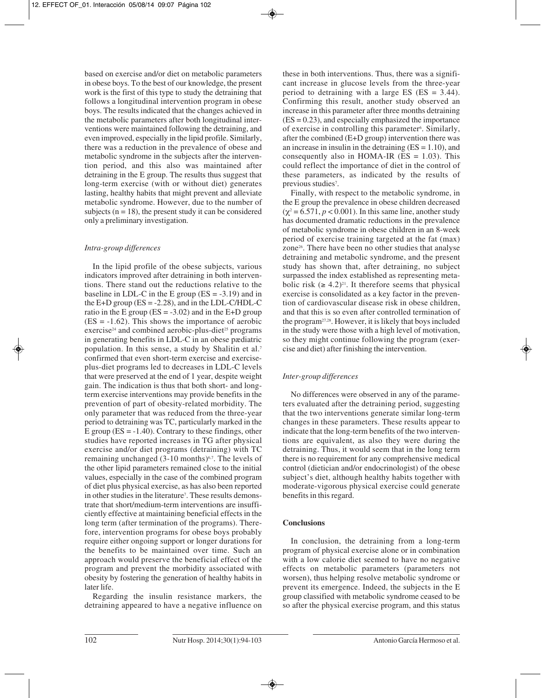based on exercise and/or diet on metabolic parameters in obese boys. To the best of our knowledge, the present work is the first of this type to study the detraining that follows a longitudinal intervention program in obese boys. The results indicated that the changes achieved in the metabolic parameters after both longitudinal interventions were maintained following the detraining, and even improved, especially in the lipid profile. Similarly, there was a reduction in the prevalence of obese and metabolic syndrome in the subjects after the intervention period, and this also was maintained after detraining in the E group. The results thus suggest that long-term exercise (with or without diet) generates lasting, healthy habits that might prevent and alleviate metabolic syndrome. However, due to the number of subjects  $(n = 18)$ , the present study it can be considered only a preliminary investigation.

## *Intra-group differences*

In the lipid profile of the obese subjects, various indicators improved after detraining in both interventions. There stand out the reductions relative to the baseline in LDL-C in the E group  $(ES = -3.19)$  and in the E+D group  $(ES = -2.28)$ , and in the LDL-C/HDL-C ratio in the E group ( $ES = -3.02$ ) and in the E+D group  $(ES = -1.62)$ . This shows the importance of aerobic exercise<sup>24</sup> and combined aerobic-plus-diet<sup>25</sup> programs in generating benefits in LDL-C in an obese pædiatric population. In this sense, a study by Shalitin et al.7 confirmed that even short-term exercise and exerciseplus-diet programs led to decreases in LDL-C levels that were preserved at the end of 1 year, despite weight gain. The indication is thus that both short- and longterm exercise interventions may provide benefits in the prevention of part of obesity-related morbidity. The only parameter that was reduced from the three-year period to detraining was TC, particularly marked in the E group  $(ES = -1.40)$ . Contrary to these findings, other studies have reported increases in TG after physical exercise and/or diet programs (detraining) with TC remaining unchanged  $(3-10 \text{ months})^{6,7}$ . The levels of the other lipid parameters remained close to the initial values, especially in the case of the combined program of diet plus physical exercise, as has also been reported in other studies in the literature<sup>7</sup>. These results demonstrate that short/medium-term interventions are insufficiently effective at maintaining beneficial effects in the long term (after termination of the programs). Therefore, intervention programs for obese boys probably require either ongoing support or longer durations for the benefits to be maintained over time. Such an approach would preserve the beneficial effect of the program and prevent the morbidity associated with obesity by fostering the generation of healthy habits in later life.

Regarding the insulin resistance markers, the detraining appeared to have a negative influence on these in both interventions. Thus, there was a significant increase in glucose levels from the three-year period to detraining with a large ES  $(ES = 3.44)$ . Confirming this result, another study observed an increase in this parameter after three months detraining  $(ES = 0.23)$ , and especially emphasized the importance of exercise in controlling this parameter<sup>6</sup>. Similarly, after the combined (E+D group) intervention there was an increase in insulin in the detraining  $(ES = 1.10)$ , and consequently also in HOMA-IR  $(ES = 1.03)$ . This could reflect the importance of diet in the control of these parameters, as indicated by the results of previous studies<sup>7</sup>.

Finally, with respect to the metabolic syndrome, in the E group the prevalence in obese children decreased  $(\chi^2 = 6.571, p < 0.001)$ . In this same line, another study has documented dramatic reductions in the prevalence of metabolic syndrome in obese children in an 8-week period of exercise training targeted at the fat (max) zone26. There have been no other studies that analyse detraining and metabolic syndrome, and the present study has shown that, after detraining, no subject surpassed the index established as representing metabolic risk  $(≥ 4.2)^{21}$ . It therefore seems that physical exercise is consolidated as a key factor in the prevention of cardiovascular disease risk in obese children, and that this is so even after controlled termination of the program27,28. However, it is likely that boys included in the study were those with a high level of motivation, so they might continue following the program (exercise and diet) after finishing the intervention.

## *Inter-group differences*

No differences were observed in any of the parameters evaluated after the detraining period, suggesting that the two interventions generate similar long-term changes in these parameters. These results appear to indicate that the long-term benefits of the two interventions are equivalent, as also they were during the detraining. Thus, it would seem that in the long term there is no requirement for any comprehensive medical control (dietician and/or endocrinologist) of the obese subject's diet, although healthy habits together with moderate-vigorous physical exercise could generate benefits in this regard.

## **Conclusions**

In conclusion, the detraining from a long-term program of physical exercise alone or in combination with a low calorie diet seemed to have no negative effects on metabolic parameters (parameters not worsen), thus helping resolve metabolic syndrome or prevent its emergence. Indeed, the subjects in the E group classified with metabolic syndrome ceased to be so after the physical exercise program, and this status